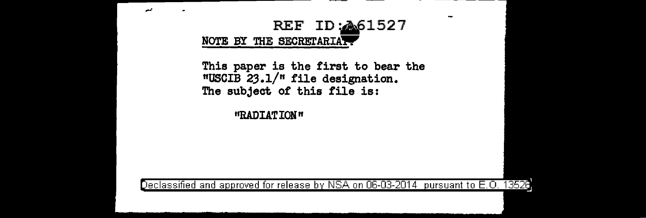

This paper is the first to bear the nuscIB 23.1/" file designation. The subject of this file is:

 $\sim$ 

"RADIATION"

Declassified and approved for release by NSA on 06-03-2014 pursuant to E.O. 13528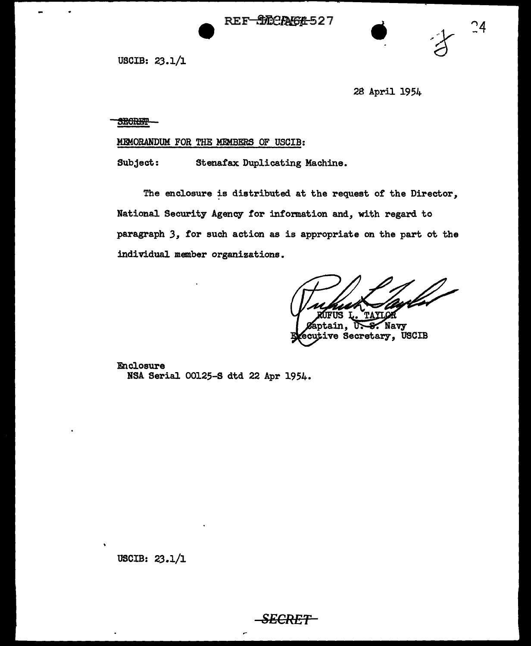REF-972CRA64-527



 $\frac{0}{2}$ 

USCIB: 23.1/l

2a April 1954

SECRET-

## MEMORANDUM FOR THE MEMBERS OF USCIB:

Subject: Stenafax Duplicating Machine.

The enclosure is distributed at the request of the Director, National Security Agency for information and, with regard to paragraph *3,* for such action as is appropriate on the part ot the individual member organizations.

פוזי

Navy **ptain.** tive Secretary, USCIB

Enclosure NSA Serial 00125-S dtd 22 Apr 1954.

USCIB: 23.1/l

*SECRET*